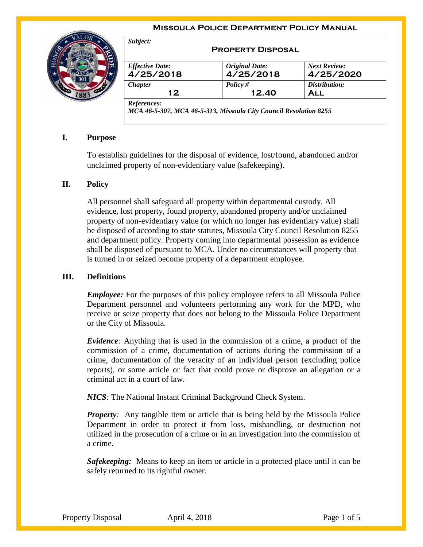#### **Missoula Police Department Policy Manual**



| Subject:                            | <b>PROPERTY DISPOSAL</b>           |                                  |
|-------------------------------------|------------------------------------|----------------------------------|
| <b>Effective Date:</b><br>4/25/2018 | <b>Original Date:</b><br>4/25/2018 | <b>Next Review:</b><br>4/25/2020 |
| <b>Chapter</b>                      | Policy $#$                         | Distribution:                    |
| 12                                  | 12.40                              | <b>ALL</b>                       |

## **I. Purpose**

To establish guidelines for the disposal of evidence, lost/found, abandoned and/or unclaimed property of non-evidentiary value (safekeeping).

## **II. Policy**

All personnel shall safeguard all property within departmental custody. All evidence, lost property, found property, abandoned property and/or unclaimed property of non-evidentiary value (or which no longer has evidentiary value) shall be disposed of according to state statutes, Missoula City Council Resolution 8255 and department policy. Property coming into departmental possession as evidence shall be disposed of pursuant to MCA. Under no circumstances will property that is turned in or seized become property of a department employee.

### **III. Definitions**

*Employee:* For the purposes of this policy employee refers to all Missoula Police Department personnel and volunteers performing any work for the MPD, who receive or seize property that does not belong to the Missoula Police Department or the City of Missoula.

*Evidence:* Anything that is used in the commission of a crime, a product of the commission of a crime, documentation of actions during the commission of a crime, documentation of the veracity of an individual person (excluding police reports), or some article or fact that could prove or disprove an allegation or a criminal act in a court of law.

*NICS:* The National Instant Criminal Background Check System.

*Property*: Any tangible item or article that is being held by the Missoula Police Department in order to protect it from loss, mishandling, or destruction not utilized in the prosecution of a crime or in an investigation into the commission of a crime.

*Safekeeping:* Means to keep an item or article in a protected place until it can be safely returned to its rightful owner.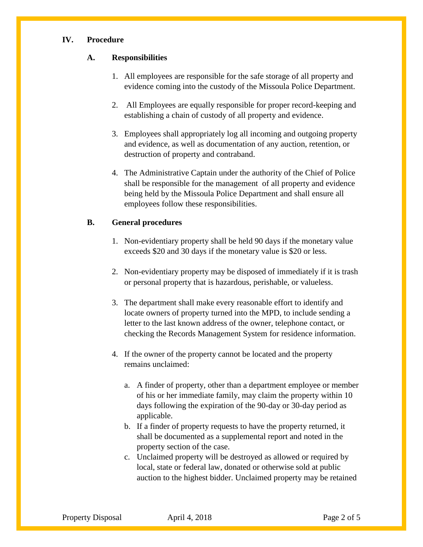### **IV. Procedure**

### **A. Responsibilities**

- 1. All employees are responsible for the safe storage of all property and evidence coming into the custody of the Missoula Police Department.
- 2. All Employees are equally responsible for proper record-keeping and establishing a chain of custody of all property and evidence.
- 3. Employees shall appropriately log all incoming and outgoing property and evidence, as well as documentation of any auction, retention, or destruction of property and contraband.
- 4. The Administrative Captain under the authority of the Chief of Police shall be responsible for the management of all property and evidence being held by the Missoula Police Department and shall ensure all employees follow these responsibilities.

## **B. General procedures**

- 1. Non-evidentiary property shall be held 90 days if the monetary value exceeds \$20 and 30 days if the monetary value is \$20 or less.
- 2. Non-evidentiary property may be disposed of immediately if it is trash or personal property that is hazardous, perishable, or valueless.
- 3. The department shall make every reasonable effort to identify and locate owners of property turned into the MPD, to include sending a letter to the last known address of the owner, telephone contact, or checking the Records Management System for residence information.
- 4. If the owner of the property cannot be located and the property remains unclaimed:
	- a. A finder of property, other than a department employee or member of his or her immediate family, may claim the property within 10 days following the expiration of the 90-day or 30-day period as applicable.
	- b. If a finder of property requests to have the property returned, it shall be documented as a supplemental report and noted in the property section of the case.
	- c. Unclaimed property will be destroyed as allowed or required by local, state or federal law, donated or otherwise sold at public auction to the highest bidder. Unclaimed property may be retained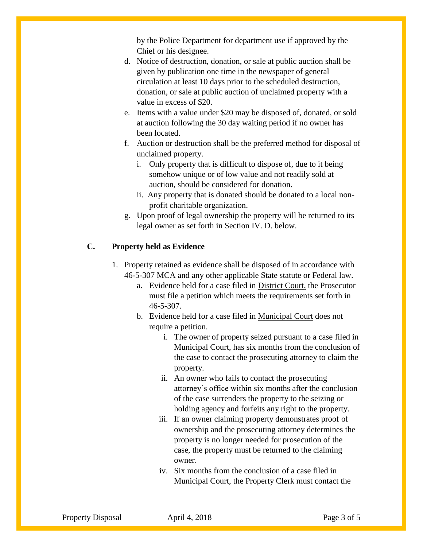by the Police Department for department use if approved by the Chief or his designee.

- d. Notice of destruction, donation, or sale at public auction shall be given by publication one time in the newspaper of general circulation at least 10 days prior to the scheduled destruction, donation, or sale at public auction of unclaimed property with a value in excess of \$20.
- e. Items with a value under \$20 may be disposed of, donated, or sold at auction following the 30 day waiting period if no owner has been located.
- f. Auction or destruction shall be the preferred method for disposal of unclaimed property.
	- i. Only property that is difficult to dispose of, due to it being somehow unique or of low value and not readily sold at auction, should be considered for donation.
	- ii. Any property that is donated should be donated to a local nonprofit charitable organization.
- g. Upon proof of legal ownership the property will be returned to its legal owner as set forth in Section IV. D. below.

# **C. Property held as Evidence**

- 1. Property retained as evidence shall be disposed of in accordance with 46-5-307 MCA and any other applicable State statute or Federal law.
	- a. Evidence held for a case filed in District Court, the Prosecutor must file a petition which meets the requirements set forth in 46-5-307.
	- b. Evidence held for a case filed in Municipal Court does not require a petition.
		- i. The owner of property seized pursuant to a case filed in Municipal Court, has six months from the conclusion of the case to contact the prosecuting attorney to claim the property.
		- ii. An owner who fails to contact the prosecuting attorney's office within six months after the conclusion of the case surrenders the property to the seizing or holding agency and forfeits any right to the property.
		- iii. If an owner claiming property demonstrates proof of ownership and the prosecuting attorney determines the property is no longer needed for prosecution of the case, the property must be returned to the claiming owner.
		- iv. Six months from the conclusion of a case filed in Municipal Court, the Property Clerk must contact the

Property Disposal April 4, 2018 Page 3 of 5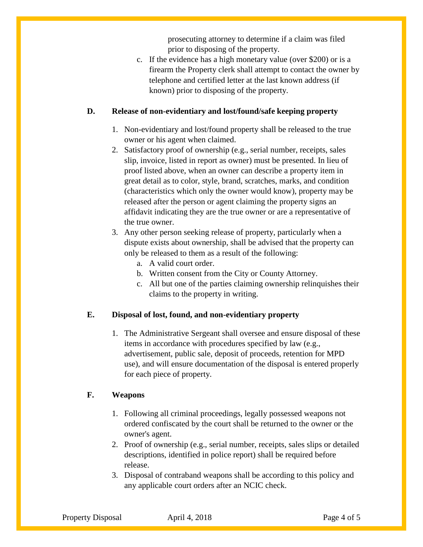prosecuting attorney to determine if a claim was filed prior to disposing of the property.

c. If the evidence has a high monetary value (over \$200) or is a firearm the Property clerk shall attempt to contact the owner by telephone and certified letter at the last known address (if known) prior to disposing of the property.

# **D. Release of non-evidentiary and lost/found/safe keeping property**

- 1. Non-evidentiary and lost/found property shall be released to the true owner or his agent when claimed.
- 2. Satisfactory proof of ownership (e.g., serial number, receipts, sales slip, invoice, listed in report as owner) must be presented. In lieu of proof listed above, when an owner can describe a property item in great detail as to color, style, brand, scratches, marks, and condition (characteristics which only the owner would know), property may be released after the person or agent claiming the property signs an affidavit indicating they are the true owner or are a representative of the true owner.
- 3. Any other person seeking release of property, particularly when a dispute exists about ownership, shall be advised that the property can only be released to them as a result of the following:
	- a. A valid court order.
	- b. Written consent from the City or County Attorney.
	- c. All but one of the parties claiming ownership relinquishes their claims to the property in writing.

# **E. Disposal of lost, found, and non-evidentiary property**

1. The Administrative Sergeant shall oversee and ensure disposal of these items in accordance with procedures specified by law (e.g., advertisement, public sale, deposit of proceeds, retention for MPD use), and will ensure documentation of the disposal is entered properly for each piece of property.

# **F. Weapons**

- 1. Following all criminal proceedings, legally possessed weapons not ordered confiscated by the court shall be returned to the owner or the owner's agent.
- 2. Proof of ownership (e.g., serial number, receipts, sales slips or detailed descriptions, identified in police report) shall be required before release.
- 3. Disposal of contraband weapons shall be according to this policy and any applicable court orders after an NCIC check.

Property Disposal April 4, 2018 Page 4 of 5